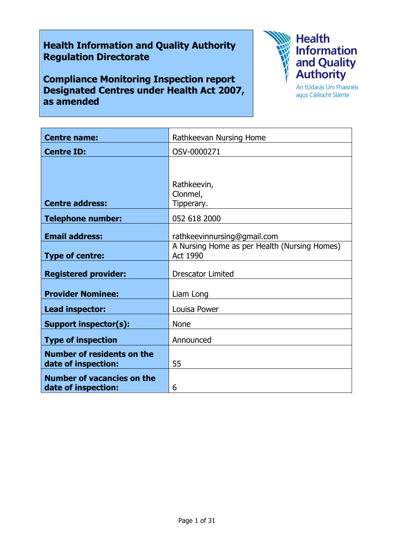# Health Information and Quality Authority Regulation Directorate

Compliance Monitoring Inspection report Designated Centres under Health Act 2007, as amended



agus Cáilíocht Sláinte

| <b>Centre name:</b>                                      | Rathkeevan Nursing Home                                         |
|----------------------------------------------------------|-----------------------------------------------------------------|
| <b>Centre ID:</b>                                        | OSV-0000271                                                     |
|                                                          |                                                                 |
|                                                          |                                                                 |
|                                                          | Rathkeevin,<br>Clonmel,                                         |
| <b>Centre address:</b>                                   | Tipperary.                                                      |
| <b>Telephone number:</b>                                 | 052 618 2000                                                    |
| <b>Email address:</b>                                    | rathkeevinnursing@gmail.com                                     |
| <b>Type of centre:</b>                                   | A Nursing Home as per Health (Nursing Homes)<br><b>Act 1990</b> |
| <b>Registered provider:</b>                              | <b>Drescator Limited</b>                                        |
| <b>Provider Nominee:</b>                                 | Liam Long                                                       |
| Lead inspector:                                          | Louisa Power                                                    |
| <b>Support inspector(s):</b>                             | <b>None</b>                                                     |
| <b>Type of inspection</b>                                | Announced                                                       |
| <b>Number of residents on the</b><br>date of inspection: | 55                                                              |
| <b>Number of vacancies on the</b><br>date of inspection: | 6                                                               |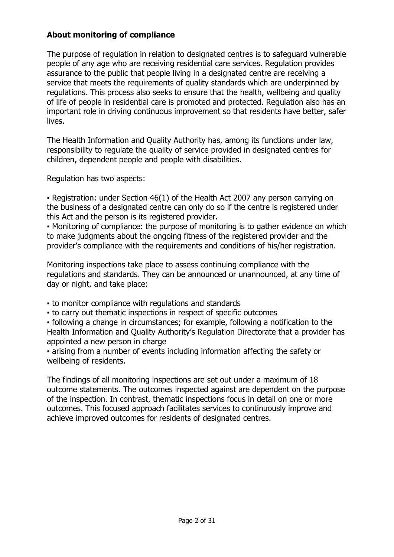# About monitoring of compliance

The purpose of regulation in relation to designated centres is to safeguard vulnerable people of any age who are receiving residential care services. Regulation provides assurance to the public that people living in a designated centre are receiving a service that meets the requirements of quality standards which are underpinned by regulations. This process also seeks to ensure that the health, wellbeing and quality of life of people in residential care is promoted and protected. Regulation also has an important role in driving continuous improvement so that residents have better, safer lives.

The Health Information and Quality Authority has, among its functions under law, responsibility to regulate the quality of service provided in designated centres for children, dependent people and people with disabilities.

Regulation has two aspects:

• Registration: under Section 46(1) of the Health Act 2007 any person carrying on the business of a designated centre can only do so if the centre is registered under this Act and the person is its registered provider.

▪ Monitoring of compliance: the purpose of monitoring is to gather evidence on which to make judgments about the ongoing fitness of the registered provider and the provider's compliance with the requirements and conditions of his/her registration.

Monitoring inspections take place to assess continuing compliance with the regulations and standards. They can be announced or unannounced, at any time of day or night, and take place:

- to monitor compliance with regulations and standards
- to carry out thematic inspections in respect of specific outcomes

▪ following a change in circumstances; for example, following a notification to the Health Information and Quality Authority's Regulation Directorate that a provider has appointed a new person in charge

▪ arising from a number of events including information affecting the safety or wellbeing of residents.

The findings of all monitoring inspections are set out under a maximum of 18 outcome statements. The outcomes inspected against are dependent on the purpose of the inspection. In contrast, thematic inspections focus in detail on one or more outcomes. This focused approach facilitates services to continuously improve and achieve improved outcomes for residents of designated centres.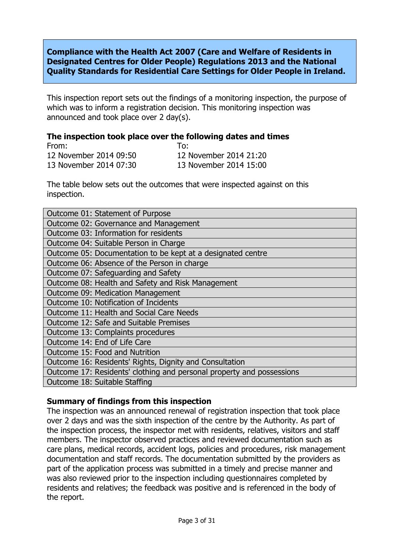Compliance with the Health Act 2007 (Care and Welfare of Residents in Designated Centres for Older People) Regulations 2013 and the National Quality Standards for Residential Care Settings for Older People in Ireland.

This inspection report sets out the findings of a monitoring inspection, the purpose of which was to inform a registration decision. This monitoring inspection was announced and took place over 2 day(s).

#### The inspection took place over the following dates and times

| From:                  | To:                    |
|------------------------|------------------------|
| 12 November 2014 09:50 | 12 November 2014 21:20 |
| 13 November 2014 07:30 | 13 November 2014 15:00 |

The table below sets out the outcomes that were inspected against on this inspection.

| Outcome 01: Statement of Purpose                                      |  |  |
|-----------------------------------------------------------------------|--|--|
| Outcome 02: Governance and Management                                 |  |  |
| Outcome 03: Information for residents                                 |  |  |
| Outcome 04: Suitable Person in Charge                                 |  |  |
| Outcome 05: Documentation to be kept at a designated centre           |  |  |
| Outcome 06: Absence of the Person in charge                           |  |  |
| Outcome 07: Safeguarding and Safety                                   |  |  |
| Outcome 08: Health and Safety and Risk Management                     |  |  |
| <b>Outcome 09: Medication Management</b>                              |  |  |
| Outcome 10: Notification of Incidents                                 |  |  |
| Outcome 11: Health and Social Care Needs                              |  |  |
| Outcome 12: Safe and Suitable Premises                                |  |  |
| Outcome 13: Complaints procedures                                     |  |  |
| Outcome 14: End of Life Care                                          |  |  |
| Outcome 15: Food and Nutrition                                        |  |  |
| Outcome 16: Residents' Rights, Dignity and Consultation               |  |  |
| Outcome 17: Residents' clothing and personal property and possessions |  |  |
| Outcome 18: Suitable Staffing                                         |  |  |

### Summary of findings from this inspection

The inspection was an announced renewal of registration inspection that took place over 2 days and was the sixth inspection of the centre by the Authority. As part of the inspection process, the inspector met with residents, relatives, visitors and staff members. The inspector observed practices and reviewed documentation such as care plans, medical records, accident logs, policies and procedures, risk management documentation and staff records. The documentation submitted by the providers as part of the application process was submitted in a timely and precise manner and was also reviewed prior to the inspection including questionnaires completed by residents and relatives; the feedback was positive and is referenced in the body of the report.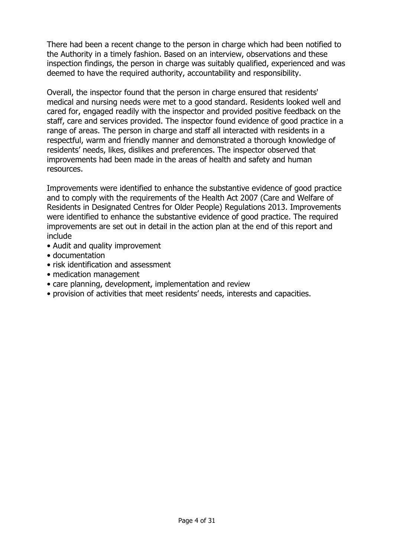There had been a recent change to the person in charge which had been notified to the Authority in a timely fashion. Based on an interview, observations and these inspection findings, the person in charge was suitably qualified, experienced and was deemed to have the required authority, accountability and responsibility.

Overall, the inspector found that the person in charge ensured that residents' medical and nursing needs were met to a good standard. Residents looked well and cared for, engaged readily with the inspector and provided positive feedback on the staff, care and services provided. The inspector found evidence of good practice in a range of areas. The person in charge and staff all interacted with residents in a respectful, warm and friendly manner and demonstrated a thorough knowledge of residents' needs, likes, dislikes and preferences. The inspector observed that improvements had been made in the areas of health and safety and human resources.

Improvements were identified to enhance the substantive evidence of good practice and to comply with the requirements of the Health Act 2007 (Care and Welfare of Residents in Designated Centres for Older People) Regulations 2013. Improvements were identified to enhance the substantive evidence of good practice. The required improvements are set out in detail in the action plan at the end of this report and include

- Audit and quality improvement
- documentation
- risk identification and assessment
- medication management
- care planning, development, implementation and review
- provision of activities that meet residents' needs, interests and capacities.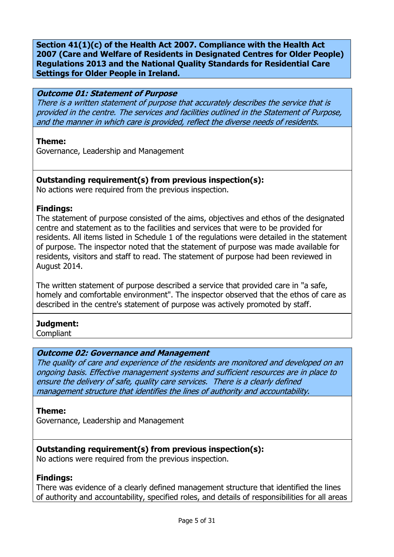Section 41(1)(c) of the Health Act 2007. Compliance with the Health Act 2007 (Care and Welfare of Residents in Designated Centres for Older People) Regulations 2013 and the National Quality Standards for Residential Care Settings for Older People in Ireland.

#### Outcome 01: Statement of Purpose

There is a written statement of purpose that accurately describes the service that is provided in the centre. The services and facilities outlined in the Statement of Purpose, and the manner in which care is provided, reflect the diverse needs of residents.

#### Theme:

Governance, Leadership and Management

### Outstanding requirement(s) from previous inspection(s):

No actions were required from the previous inspection.

### Findings:

The statement of purpose consisted of the aims, objectives and ethos of the designated centre and statement as to the facilities and services that were to be provided for residents. All items listed in Schedule 1 of the regulations were detailed in the statement of purpose. The inspector noted that the statement of purpose was made available for residents, visitors and staff to read. The statement of purpose had been reviewed in August 2014.

The written statement of purpose described a service that provided care in "a safe, homely and comfortable environment". The inspector observed that the ethos of care as described in the centre's statement of purpose was actively promoted by staff.

### Judgment:

**Compliant** 

### Outcome 02: Governance and Management

The quality of care and experience of the residents are monitored and developed on an ongoing basis. Effective management systems and sufficient resources are in place to ensure the delivery of safe, quality care services. There is a clearly defined management structure that identifies the lines of authority and accountability.

#### Theme:

Governance, Leadership and Management

### Outstanding requirement(s) from previous inspection(s):

No actions were required from the previous inspection.

### Findings:

There was evidence of a clearly defined management structure that identified the lines of authority and accountability, specified roles, and details of responsibilities for all areas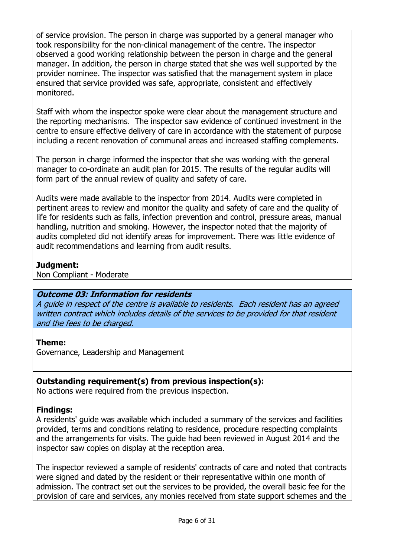of service provision. The person in charge was supported by a general manager who took responsibility for the non-clinical management of the centre. The inspector observed a good working relationship between the person in charge and the general manager. In addition, the person in charge stated that she was well supported by the provider nominee. The inspector was satisfied that the management system in place ensured that service provided was safe, appropriate, consistent and effectively monitored.

Staff with whom the inspector spoke were clear about the management structure and the reporting mechanisms. The inspector saw evidence of continued investment in the centre to ensure effective delivery of care in accordance with the statement of purpose including a recent renovation of communal areas and increased staffing complements.

The person in charge informed the inspector that she was working with the general manager to co-ordinate an audit plan for 2015. The results of the regular audits will form part of the annual review of quality and safety of care.

Audits were made available to the inspector from 2014. Audits were completed in pertinent areas to review and monitor the quality and safety of care and the quality of life for residents such as falls, infection prevention and control, pressure areas, manual handling, nutrition and smoking. However, the inspector noted that the majority of audits completed did not identify areas for improvement. There was little evidence of audit recommendations and learning from audit results.

### Judgment:

Non Compliant - Moderate

# Outcome 03: Information for residents

A guide in respect of the centre is available to residents. Each resident has an agreed written contract which includes details of the services to be provided for that resident and the fees to be charged.

# Theme:

Governance, Leadership and Management

# Outstanding requirement(s) from previous inspection(s):

No actions were required from the previous inspection.

# Findings:

A residents' guide was available which included a summary of the services and facilities provided, terms and conditions relating to residence, procedure respecting complaints and the arrangements for visits. The guide had been reviewed in August 2014 and the inspector saw copies on display at the reception area.

The inspector reviewed a sample of residents' contracts of care and noted that contracts were signed and dated by the resident or their representative within one month of admission. The contract set out the services to be provided, the overall basic fee for the provision of care and services, any monies received from state support schemes and the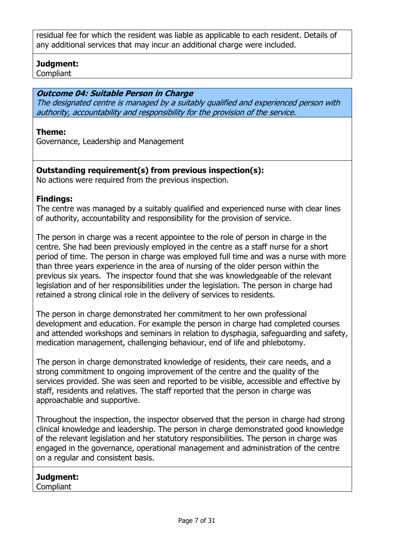residual fee for which the resident was liable as applicable to each resident. Details of any additional services that may incur an additional charge were included.

### Judgment:

**Compliant** 

### Outcome 04: Suitable Person in Charge

The designated centre is managed by a suitably qualified and experienced person with authority, accountability and responsibility for the provision of the service.

#### Theme:

Governance, Leadership and Management

### Outstanding requirement(s) from previous inspection(s):

No actions were required from the previous inspection.

### Findings:

The centre was managed by a suitably qualified and experienced nurse with clear lines of authority, accountability and responsibility for the provision of service.

The person in charge was a recent appointee to the role of person in charge in the centre. She had been previously employed in the centre as a staff nurse for a short period of time. The person in charge was employed full time and was a nurse with more than three years experience in the area of nursing of the older person within the previous six years. The inspector found that she was knowledgeable of the relevant legislation and of her responsibilities under the legislation. The person in charge had retained a strong clinical role in the delivery of services to residents.

The person in charge demonstrated her commitment to her own professional development and education. For example the person in charge had completed courses and attended workshops and seminars in relation to dysphagia, safeguarding and safety, medication management, challenging behaviour, end of life and phlebotomy.

The person in charge demonstrated knowledge of residents, their care needs, and a strong commitment to ongoing improvement of the centre and the quality of the services provided. She was seen and reported to be visible, accessible and effective by staff, residents and relatives. The staff reported that the person in charge was approachable and supportive.

Throughout the inspection, the inspector observed that the person in charge had strong clinical knowledge and leadership. The person in charge demonstrated good knowledge of the relevant legislation and her statutory responsibilities. The person in charge was engaged in the governance, operational management and administration of the centre on a regular and consistent basis.

# Judgment:

**Compliant**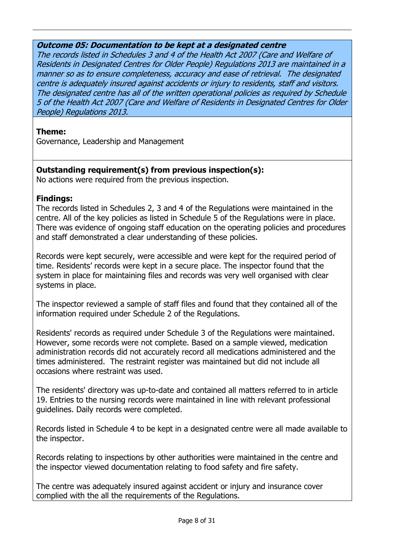### Outcome 05: Documentation to be kept at a designated centre

The records listed in Schedules 3 and 4 of the Health Act 2007 (Care and Welfare of Residents in Designated Centres for Older People) Regulations 2013 are maintained in a manner so as to ensure completeness, accuracy and ease of retrieval. The designated centre is adequately insured against accidents or injury to residents, staff and visitors. The designated centre has all of the written operational policies as required by Schedule 5 of the Health Act 2007 (Care and Welfare of Residents in Designated Centres for Older People) Regulations 2013.

### Theme:

Governance, Leadership and Management

# Outstanding requirement(s) from previous inspection(s):

No actions were required from the previous inspection.

### Findings:

The records listed in Schedules 2, 3 and 4 of the Regulations were maintained in the centre. All of the key policies as listed in Schedule 5 of the Regulations were in place. There was evidence of ongoing staff education on the operating policies and procedures and staff demonstrated a clear understanding of these policies.

Records were kept securely, were accessible and were kept for the required period of time. Residents' records were kept in a secure place. The inspector found that the system in place for maintaining files and records was very well organised with clear systems in place.

The inspector reviewed a sample of staff files and found that they contained all of the information required under Schedule 2 of the Regulations.

Residents' records as required under Schedule 3 of the Regulations were maintained. However, some records were not complete. Based on a sample viewed, medication administration records did not accurately record all medications administered and the times administered. The restraint register was maintained but did not include all occasions where restraint was used.

The residents' directory was up-to-date and contained all matters referred to in article 19. Entries to the nursing records were maintained in line with relevant professional guidelines. Daily records were completed.

Records listed in Schedule 4 to be kept in a designated centre were all made available to the inspector.

Records relating to inspections by other authorities were maintained in the centre and the inspector viewed documentation relating to food safety and fire safety.

The centre was adequately insured against accident or injury and insurance cover complied with the all the requirements of the Regulations.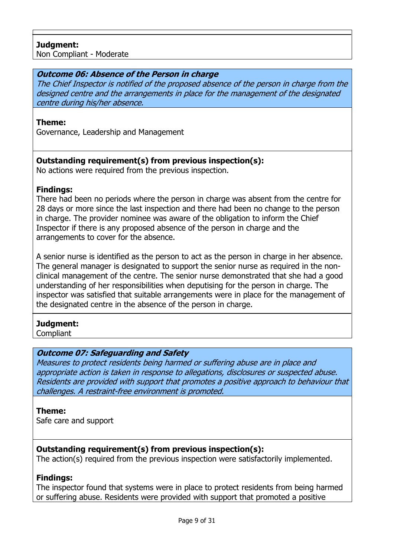### Judgment:

Non Compliant - Moderate

#### Outcome 06: Absence of the Person in charge

The Chief Inspector is notified of the proposed absence of the person in charge from the designed centre and the arrangements in place for the management of the designated centre during his/her absence.

#### Theme:

Governance, Leadership and Management

### Outstanding requirement(s) from previous inspection(s):

No actions were required from the previous inspection.

#### Findings:

There had been no periods where the person in charge was absent from the centre for 28 days or more since the last inspection and there had been no change to the person in charge. The provider nominee was aware of the obligation to inform the Chief Inspector if there is any proposed absence of the person in charge and the arrangements to cover for the absence.

A senior nurse is identified as the person to act as the person in charge in her absence. The general manager is designated to support the senior nurse as required in the nonclinical management of the centre. The senior nurse demonstrated that she had a good understanding of her responsibilities when deputising for the person in charge. The inspector was satisfied that suitable arrangements were in place for the management of the designated centre in the absence of the person in charge.

### Judgment:

Compliant

### Outcome 07: Safeguarding and Safety

Measures to protect residents being harmed or suffering abuse are in place and appropriate action is taken in response to allegations, disclosures or suspected abuse. Residents are provided with support that promotes a positive approach to behaviour that challenges. A restraint-free environment is promoted.

#### Theme:

Safe care and support

### Outstanding requirement(s) from previous inspection(s):

The action(s) required from the previous inspection were satisfactorily implemented.

#### Findings:

The inspector found that systems were in place to protect residents from being harmed or suffering abuse. Residents were provided with support that promoted a positive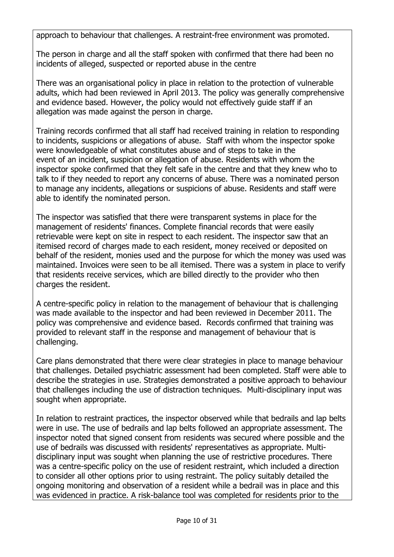approach to behaviour that challenges. A restraint-free environment was promoted.

The person in charge and all the staff spoken with confirmed that there had been no incidents of alleged, suspected or reported abuse in the centre

There was an organisational policy in place in relation to the protection of vulnerable adults, which had been reviewed in April 2013. The policy was generally comprehensive and evidence based. However, the policy would not effectively guide staff if an allegation was made against the person in charge.

Training records confirmed that all staff had received training in relation to responding to incidents, suspicions or allegations of abuse. Staff with whom the inspector spoke were knowledgeable of what constitutes abuse and of steps to take in the event of an incident, suspicion or allegation of abuse. Residents with whom the inspector spoke confirmed that they felt safe in the centre and that they knew who to talk to if they needed to report any concerns of abuse. There was a nominated person to manage any incidents, allegations or suspicions of abuse. Residents and staff were able to identify the nominated person.

The inspector was satisfied that there were transparent systems in place for the management of residents' finances. Complete financial records that were easily retrievable were kept on site in respect to each resident. The inspector saw that an itemised record of charges made to each resident, money received or deposited on behalf of the resident, monies used and the purpose for which the money was used was maintained. Invoices were seen to be all itemised. There was a system in place to verify that residents receive services, which are billed directly to the provider who then charges the resident.

A centre-specific policy in relation to the management of behaviour that is challenging was made available to the inspector and had been reviewed in December 2011. The policy was comprehensive and evidence based. Records confirmed that training was provided to relevant staff in the response and management of behaviour that is challenging.

Care plans demonstrated that there were clear strategies in place to manage behaviour that challenges. Detailed psychiatric assessment had been completed. Staff were able to describe the strategies in use. Strategies demonstrated a positive approach to behaviour that challenges including the use of distraction techniques. Multi-disciplinary input was sought when appropriate.

In relation to restraint practices, the inspector observed while that bedrails and lap belts were in use. The use of bedrails and lap belts followed an appropriate assessment. The inspector noted that signed consent from residents was secured where possible and the use of bedrails was discussed with residents' representatives as appropriate. Multidisciplinary input was sought when planning the use of restrictive procedures. There was a centre-specific policy on the use of resident restraint, which included a direction to consider all other options prior to using restraint. The policy suitably detailed the ongoing monitoring and observation of a resident while a bedrail was in place and this was evidenced in practice. A risk-balance tool was completed for residents prior to the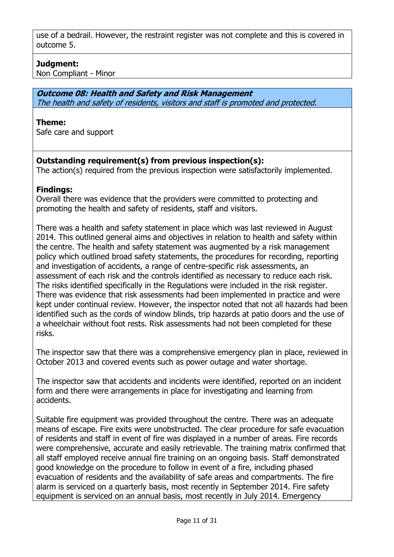use of a bedrail. However, the restraint register was not complete and this is covered in outcome 5.

# Judgment:

Non Compliant - Minor

#### Outcome 08: Health and Safety and Risk Management The health and safety of residents, visitors and staff is promoted and protected.

#### Theme:

Safe care and support

### Outstanding requirement(s) from previous inspection(s):

The action(s) required from the previous inspection were satisfactorily implemented.

### Findings:

Overall there was evidence that the providers were committed to protecting and promoting the health and safety of residents, staff and visitors.

There was a health and safety statement in place which was last reviewed in August 2014. This outlined general aims and objectives in relation to health and safety within the centre. The health and safety statement was augmented by a risk management policy which outlined broad safety statements, the procedures for recording, reporting and investigation of accidents, a range of centre-specific risk assessments, an assessment of each risk and the controls identified as necessary to reduce each risk. The risks identified specifically in the Regulations were included in the risk register. There was evidence that risk assessments had been implemented in practice and were kept under continual review. However, the inspector noted that not all hazards had been identified such as the cords of window blinds, trip hazards at patio doors and the use of a wheelchair without foot rests. Risk assessments had not been completed for these risks.

The inspector saw that there was a comprehensive emergency plan in place, reviewed in October 2013 and covered events such as power outage and water shortage.

The inspector saw that accidents and incidents were identified, reported on an incident form and there were arrangements in place for investigating and learning from accidents.

Suitable fire equipment was provided throughout the centre. There was an adequate means of escape. Fire exits were unobstructed. The clear procedure for safe evacuation of residents and staff in event of fire was displayed in a number of areas. Fire records were comprehensive, accurate and easily retrievable. The training matrix confirmed that all staff employed receive annual fire training on an ongoing basis. Staff demonstrated good knowledge on the procedure to follow in event of a fire, including phased evacuation of residents and the availability of safe areas and compartments. The fire alarm is serviced on a quarterly basis, most recently in September 2014. Fire safety equipment is serviced on an annual basis, most recently in July 2014. Emergency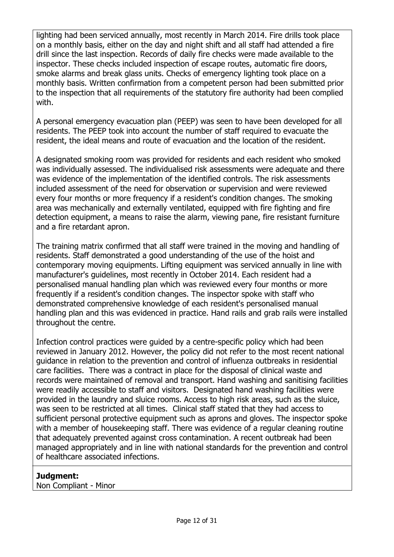lighting had been serviced annually, most recently in March 2014. Fire drills took place on a monthly basis, either on the day and night shift and all staff had attended a fire drill since the last inspection. Records of daily fire checks were made available to the inspector. These checks included inspection of escape routes, automatic fire doors, smoke alarms and break glass units. Checks of emergency lighting took place on a monthly basis. Written confirmation from a competent person had been submitted prior to the inspection that all requirements of the statutory fire authority had been complied with.

A personal emergency evacuation plan (PEEP) was seen to have been developed for all residents. The PEEP took into account the number of staff required to evacuate the resident, the ideal means and route of evacuation and the location of the resident.

A designated smoking room was provided for residents and each resident who smoked was individually assessed. The individualised risk assessments were adequate and there was evidence of the implementation of the identified controls. The risk assessments included assessment of the need for observation or supervision and were reviewed every four months or more frequency if a resident's condition changes. The smoking area was mechanically and externally ventilated, equipped with fire fighting and fire detection equipment, a means to raise the alarm, viewing pane, fire resistant furniture and a fire retardant apron.

The training matrix confirmed that all staff were trained in the moving and handling of residents. Staff demonstrated a good understanding of the use of the hoist and contemporary moving equipments. Lifting equipment was serviced annually in line with manufacturer's guidelines, most recently in October 2014. Each resident had a personalised manual handling plan which was reviewed every four months or more frequently if a resident's condition changes. The inspector spoke with staff who demonstrated comprehensive knowledge of each resident's personalised manual handling plan and this was evidenced in practice. Hand rails and grab rails were installed throughout the centre.

Infection control practices were guided by a centre-specific policy which had been reviewed in January 2012. However, the policy did not refer to the most recent national guidance in relation to the prevention and control of influenza outbreaks in residential care facilities. There was a contract in place for the disposal of clinical waste and records were maintained of removal and transport. Hand washing and sanitising facilities were readily accessible to staff and visitors. Designated hand washing facilities were provided in the laundry and sluice rooms. Access to high risk areas, such as the sluice, was seen to be restricted at all times. Clinical staff stated that they had access to sufficient personal protective equipment such as aprons and gloves. The inspector spoke with a member of housekeeping staff. There was evidence of a regular cleaning routine that adequately prevented against cross contamination. A recent outbreak had been managed appropriately and in line with national standards for the prevention and control of healthcare associated infections.

### Judgment:

Non Compliant - Minor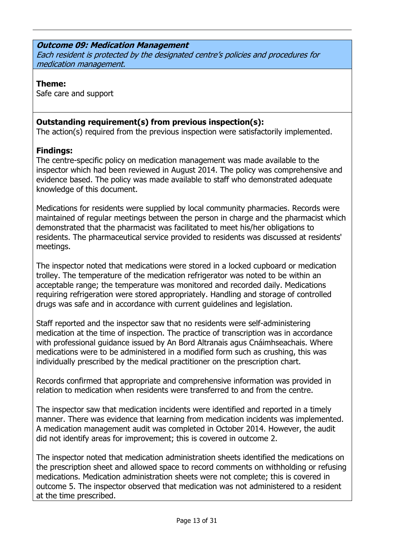### Outcome 09: Medication Management

Each resident is protected by the designated centre's policies and procedures for medication management.

### Theme:

Safe care and support

# Outstanding requirement(s) from previous inspection(s):

The action(s) required from the previous inspection were satisfactorily implemented.

# Findings:

The centre-specific policy on medication management was made available to the inspector which had been reviewed in August 2014. The policy was comprehensive and evidence based. The policy was made available to staff who demonstrated adequate knowledge of this document.

Medications for residents were supplied by local community pharmacies. Records were maintained of regular meetings between the person in charge and the pharmacist which demonstrated that the pharmacist was facilitated to meet his/her obligations to residents. The pharmaceutical service provided to residents was discussed at residents' meetings.

The inspector noted that medications were stored in a locked cupboard or medication trolley. The temperature of the medication refrigerator was noted to be within an acceptable range; the temperature was monitored and recorded daily. Medications requiring refrigeration were stored appropriately. Handling and storage of controlled drugs was safe and in accordance with current guidelines and legislation.

Staff reported and the inspector saw that no residents were self-administering medication at the time of inspection. The practice of transcription was in accordance with professional guidance issued by An Bord Altranais agus Cnáimhseachais. Where medications were to be administered in a modified form such as crushing, this was individually prescribed by the medical practitioner on the prescription chart.

Records confirmed that appropriate and comprehensive information was provided in relation to medication when residents were transferred to and from the centre.

The inspector saw that medication incidents were identified and reported in a timely manner. There was evidence that learning from medication incidents was implemented. A medication management audit was completed in October 2014. However, the audit did not identify areas for improvement; this is covered in outcome 2.

The inspector noted that medication administration sheets identified the medications on the prescription sheet and allowed space to record comments on withholding or refusing medications. Medication administration sheets were not complete; this is covered in outcome 5. The inspector observed that medication was not administered to a resident at the time prescribed.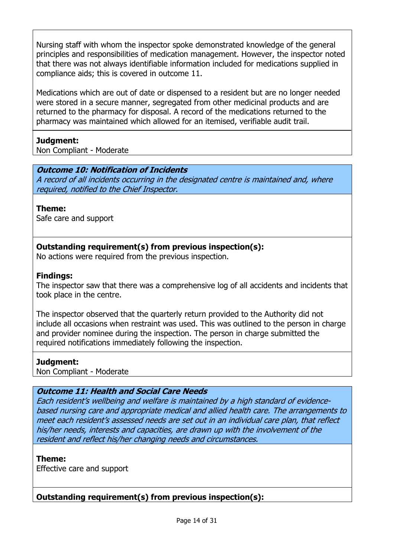Nursing staff with whom the inspector spoke demonstrated knowledge of the general principles and responsibilities of medication management. However, the inspector noted that there was not always identifiable information included for medications supplied in compliance aids; this is covered in outcome 11.

Medications which are out of date or dispensed to a resident but are no longer needed were stored in a secure manner, segregated from other medicinal products and are returned to the pharmacy for disposal. A record of the medications returned to the pharmacy was maintained which allowed for an itemised, verifiable audit trail.

### Judgment:

Non Compliant - Moderate

### Outcome 10: Notification of Incidents

A record of all incidents occurring in the designated centre is maintained and, where required, notified to the Chief Inspector.

#### Theme:

Safe care and support

### Outstanding requirement(s) from previous inspection(s):

No actions were required from the previous inspection.

### Findings:

The inspector saw that there was a comprehensive log of all accidents and incidents that took place in the centre.

The inspector observed that the quarterly return provided to the Authority did not include all occasions when restraint was used. This was outlined to the person in charge and provider nominee during the inspection. The person in charge submitted the required notifications immediately following the inspection.

#### Judgment:

Non Compliant - Moderate

### Outcome 11: Health and Social Care Needs

Each resident's wellbeing and welfare is maintained by a high standard of evidencebased nursing care and appropriate medical and allied health care. The arrangements to meet each resident's assessed needs are set out in an individual care plan, that reflect his/her needs, interests and capacities, are drawn up with the involvement of the resident and reflect his/her changing needs and circumstances.

#### Theme:

Effective care and support

# Outstanding requirement(s) from previous inspection(s):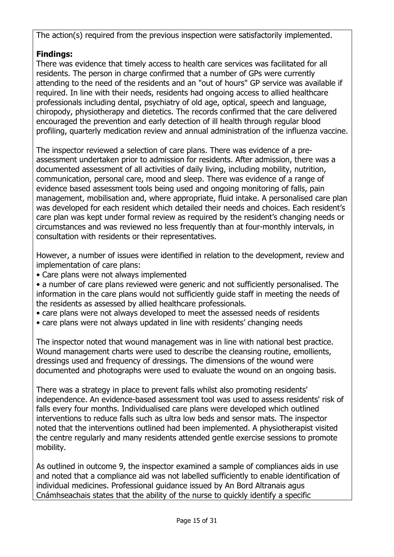The action(s) required from the previous inspection were satisfactorily implemented.

# Findings:

There was evidence that timely access to health care services was facilitated for all residents. The person in charge confirmed that a number of GPs were currently attending to the need of the residents and an "out of hours" GP service was available if required. In line with their needs, residents had ongoing access to allied healthcare professionals including dental, psychiatry of old age, optical, speech and language, chiropody, physiotherapy and dietetics. The records confirmed that the care delivered encouraged the prevention and early detection of ill health through regular blood profiling, quarterly medication review and annual administration of the influenza vaccine.

The inspector reviewed a selection of care plans. There was evidence of a preassessment undertaken prior to admission for residents. After admission, there was a documented assessment of all activities of daily living, including mobility, nutrition, communication, personal care, mood and sleep. There was evidence of a range of evidence based assessment tools being used and ongoing monitoring of falls, pain management, mobilisation and, where appropriate, fluid intake. A personalised care plan was developed for each resident which detailed their needs and choices. Each resident's care plan was kept under formal review as required by the resident's changing needs or circumstances and was reviewed no less frequently than at four-monthly intervals, in consultation with residents or their representatives.

However, a number of issues were identified in relation to the development, review and implementation of care plans:

• Care plans were not always implemented

• a number of care plans reviewed were generic and not sufficiently personalised. The information in the care plans would not sufficiently guide staff in meeting the needs of the residents as assessed by allied healthcare professionals.

- care plans were not always developed to meet the assessed needs of residents
- care plans were not always updated in line with residents' changing needs

The inspector noted that wound management was in line with national best practice. Wound management charts were used to describe the cleansing routine, emollients, dressings used and frequency of dressings. The dimensions of the wound were documented and photographs were used to evaluate the wound on an ongoing basis.

There was a strategy in place to prevent falls whilst also promoting residents' independence. An evidence-based assessment tool was used to assess residents' risk of falls every four months. Individualised care plans were developed which outlined interventions to reduce falls such as ultra low beds and sensor mats. The inspector noted that the interventions outlined had been implemented. A physiotherapist visited the centre regularly and many residents attended gentle exercise sessions to promote mobility.

As outlined in outcome 9, the inspector examined a sample of compliances aids in use and noted that a compliance aid was not labelled sufficiently to enable identification of individual medicines. Professional guidance issued by An Bord Altranais agus Cnámhseachais states that the ability of the nurse to quickly identify a specific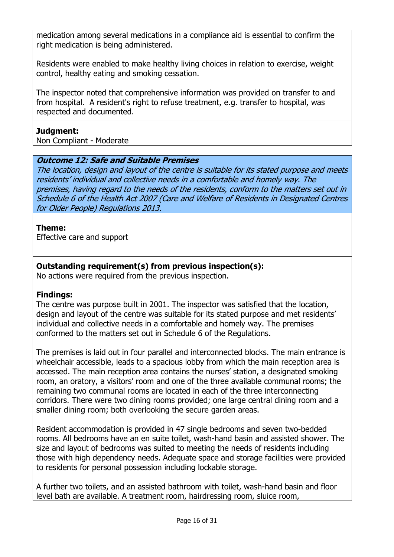medication among several medications in a compliance aid is essential to confirm the right medication is being administered.

Residents were enabled to make healthy living choices in relation to exercise, weight control, healthy eating and smoking cessation.

The inspector noted that comprehensive information was provided on transfer to and from hospital. A resident's right to refuse treatment, e.g. transfer to hospital, was respected and documented.

### Judgment:

Non Compliant - Moderate

### Outcome 12: Safe and Suitable Premises

The location, design and layout of the centre is suitable for its stated purpose and meets residents' individual and collective needs in a comfortable and homely way. The premises, having regard to the needs of the residents, conform to the matters set out in Schedule 6 of the Health Act 2007 (Care and Welfare of Residents in Designated Centres for Older People) Regulations 2013.

### Theme:

Effective care and support

# Outstanding requirement(s) from previous inspection(s):

No actions were required from the previous inspection.

# Findings:

The centre was purpose built in 2001. The inspector was satisfied that the location, design and layout of the centre was suitable for its stated purpose and met residents' individual and collective needs in a comfortable and homely way. The premises conformed to the matters set out in Schedule 6 of the Regulations.

The premises is laid out in four parallel and interconnected blocks. The main entrance is wheelchair accessible, leads to a spacious lobby from which the main reception area is accessed. The main reception area contains the nurses' station, a designated smoking room, an oratory, a visitors' room and one of the three available communal rooms; the remaining two communal rooms are located in each of the three interconnecting corridors. There were two dining rooms provided; one large central dining room and a smaller dining room; both overlooking the secure garden areas.

Resident accommodation is provided in 47 single bedrooms and seven two-bedded rooms. All bedrooms have an en suite toilet, wash-hand basin and assisted shower. The size and layout of bedrooms was suited to meeting the needs of residents including those with high dependency needs. Adequate space and storage facilities were provided to residents for personal possession including lockable storage.

A further two toilets, and an assisted bathroom with toilet, wash-hand basin and floor level bath are available. A treatment room, hairdressing room, sluice room,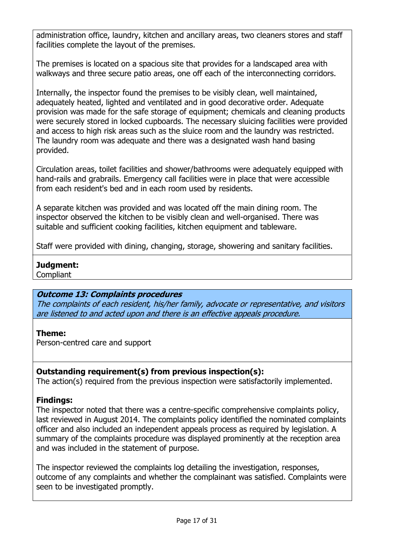administration office, laundry, kitchen and ancillary areas, two cleaners stores and staff facilities complete the layout of the premises.

The premises is located on a spacious site that provides for a landscaped area with walkways and three secure patio areas, one off each of the interconnecting corridors.

Internally, the inspector found the premises to be visibly clean, well maintained, adequately heated, lighted and ventilated and in good decorative order. Adequate provision was made for the safe storage of equipment; chemicals and cleaning products were securely stored in locked cupboards. The necessary sluicing facilities were provided and access to high risk areas such as the sluice room and the laundry was restricted. The laundry room was adequate and there was a designated wash hand basing provided.

Circulation areas, toilet facilities and shower/bathrooms were adequately equipped with hand-rails and grabrails. Emergency call facilities were in place that were accessible from each resident's bed and in each room used by residents.

A separate kitchen was provided and was located off the main dining room. The inspector observed the kitchen to be visibly clean and well-organised. There was suitable and sufficient cooking facilities, kitchen equipment and tableware.

Staff were provided with dining, changing, storage, showering and sanitary facilities.

### Judgment:

**Compliant** 

# Outcome 13: Complaints procedures

The complaints of each resident, his/her family, advocate or representative, and visitors are listened to and acted upon and there is an effective appeals procedure.

# Theme:

Person-centred care and support

# Outstanding requirement(s) from previous inspection(s):

The action(s) required from the previous inspection were satisfactorily implemented.

# Findings:

The inspector noted that there was a centre-specific comprehensive complaints policy, last reviewed in August 2014. The complaints policy identified the nominated complaints officer and also included an independent appeals process as required by legislation. A summary of the complaints procedure was displayed prominently at the reception area and was included in the statement of purpose.

The inspector reviewed the complaints log detailing the investigation, responses, outcome of any complaints and whether the complainant was satisfied. Complaints were seen to be investigated promptly.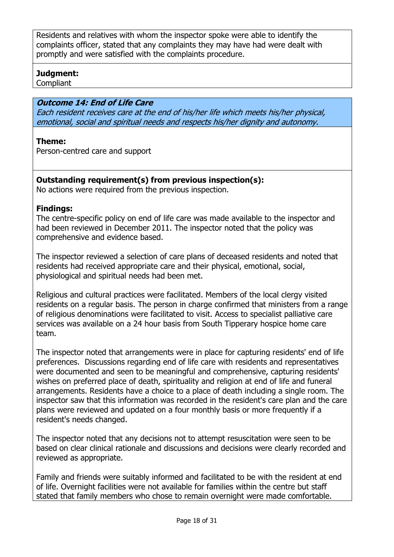Residents and relatives with whom the inspector spoke were able to identify the complaints officer, stated that any complaints they may have had were dealt with promptly and were satisfied with the complaints procedure.

### Judgment:

**Compliant** 

### Outcome 14: End of Life Care

Each resident receives care at the end of his/her life which meets his/her physical, emotional, social and spiritual needs and respects his/her dignity and autonomy.

### Theme:

Person-centred care and support

### Outstanding requirement(s) from previous inspection(s):

No actions were required from the previous inspection.

### Findings:

The centre-specific policy on end of life care was made available to the inspector and had been reviewed in December 2011. The inspector noted that the policy was comprehensive and evidence based.

The inspector reviewed a selection of care plans of deceased residents and noted that residents had received appropriate care and their physical, emotional, social, physiological and spiritual needs had been met.

Religious and cultural practices were facilitated. Members of the local clergy visited residents on a regular basis. The person in charge confirmed that ministers from a range of religious denominations were facilitated to visit. Access to specialist palliative care services was available on a 24 hour basis from South Tipperary hospice home care team.

The inspector noted that arrangements were in place for capturing residents' end of life preferences. Discussions regarding end of life care with residents and representatives were documented and seen to be meaningful and comprehensive, capturing residents' wishes on preferred place of death, spirituality and religion at end of life and funeral arrangements. Residents have a choice to a place of death including a single room. The inspector saw that this information was recorded in the resident's care plan and the care plans were reviewed and updated on a four monthly basis or more frequently if a resident's needs changed.

The inspector noted that any decisions not to attempt resuscitation were seen to be based on clear clinical rationale and discussions and decisions were clearly recorded and reviewed as appropriate.

Family and friends were suitably informed and facilitated to be with the resident at end of life. Overnight facilities were not available for families within the centre but staff stated that family members who chose to remain overnight were made comfortable.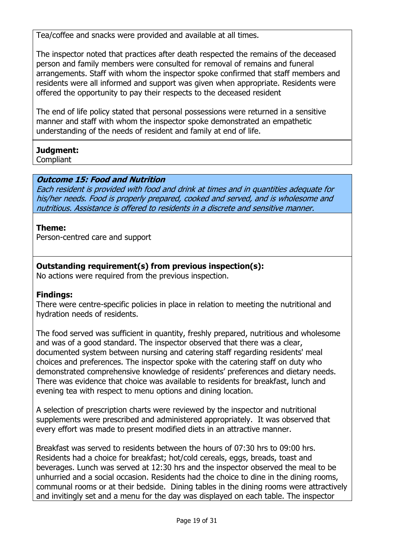Tea/coffee and snacks were provided and available at all times.

The inspector noted that practices after death respected the remains of the deceased person and family members were consulted for removal of remains and funeral arrangements. Staff with whom the inspector spoke confirmed that staff members and residents were all informed and support was given when appropriate. Residents were offered the opportunity to pay their respects to the deceased resident

The end of life policy stated that personal possessions were returned in a sensitive manner and staff with whom the inspector spoke demonstrated an empathetic understanding of the needs of resident and family at end of life.

# Judgment:

**Compliant** 

# Outcome 15: Food and Nutrition

Each resident is provided with food and drink at times and in quantities adequate for his/her needs. Food is properly prepared, cooked and served, and is wholesome and nutritious. Assistance is offered to residents in a discrete and sensitive manner.

### Theme:

Person-centred care and support

# Outstanding requirement(s) from previous inspection(s):

No actions were required from the previous inspection.

# Findings:

There were centre-specific policies in place in relation to meeting the nutritional and hydration needs of residents.

The food served was sufficient in quantity, freshly prepared, nutritious and wholesome and was of a good standard. The inspector observed that there was a clear, documented system between nursing and catering staff regarding residents' meal choices and preferences. The inspector spoke with the catering staff on duty who demonstrated comprehensive knowledge of residents' preferences and dietary needs. There was evidence that choice was available to residents for breakfast, lunch and evening tea with respect to menu options and dining location.

A selection of prescription charts were reviewed by the inspector and nutritional supplements were prescribed and administered appropriately. It was observed that every effort was made to present modified diets in an attractive manner.

Breakfast was served to residents between the hours of 07:30 hrs to 09:00 hrs. Residents had a choice for breakfast; hot/cold cereals, eggs, breads, toast and beverages. Lunch was served at 12:30 hrs and the inspector observed the meal to be unhurried and a social occasion. Residents had the choice to dine in the dining rooms, communal rooms or at their bedside. Dining tables in the dining rooms were attractively and invitingly set and a menu for the day was displayed on each table. The inspector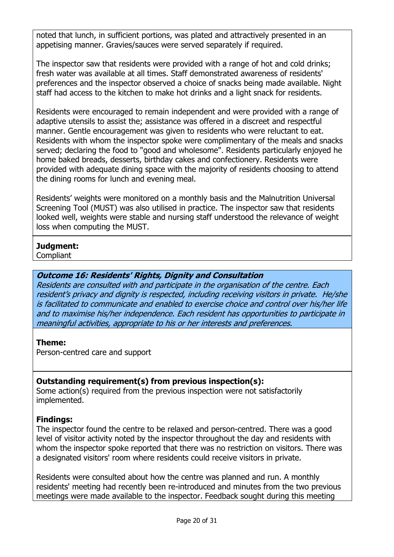noted that lunch, in sufficient portions, was plated and attractively presented in an appetising manner. Gravies/sauces were served separately if required.

The inspector saw that residents were provided with a range of hot and cold drinks; fresh water was available at all times. Staff demonstrated awareness of residents' preferences and the inspector observed a choice of snacks being made available. Night staff had access to the kitchen to make hot drinks and a light snack for residents.

Residents were encouraged to remain independent and were provided with a range of adaptive utensils to assist the; assistance was offered in a discreet and respectful manner. Gentle encouragement was given to residents who were reluctant to eat. Residents with whom the inspector spoke were complimentary of the meals and snacks served; declaring the food to "good and wholesome". Residents particularly enjoyed he home baked breads, desserts, birthday cakes and confectionery. Residents were provided with adequate dining space with the majority of residents choosing to attend the dining rooms for lunch and evening meal.

Residents' weights were monitored on a monthly basis and the Malnutrition Universal Screening Tool (MUST) was also utilised in practice. The inspector saw that residents looked well, weights were stable and nursing staff understood the relevance of weight loss when computing the MUST.

# Judgment:

**Compliant** 

### Outcome 16: Residents' Rights, Dignity and Consultation

Residents are consulted with and participate in the organisation of the centre. Each resident's privacy and dignity is respected, including receiving visitors in private. He/she is facilitated to communicate and enabled to exercise choice and control over his/her life and to maximise his/her independence. Each resident has opportunities to participate in meaningful activities, appropriate to his or her interests and preferences.

### Theme:

Person-centred care and support

# Outstanding requirement(s) from previous inspection(s):

Some action(s) required from the previous inspection were not satisfactorily implemented.

### Findings:

The inspector found the centre to be relaxed and person-centred. There was a good level of visitor activity noted by the inspector throughout the day and residents with whom the inspector spoke reported that there was no restriction on visitors. There was a designated visitors' room where residents could receive visitors in private.

Residents were consulted about how the centre was planned and run. A monthly residents' meeting had recently been re-introduced and minutes from the two previous meetings were made available to the inspector. Feedback sought during this meeting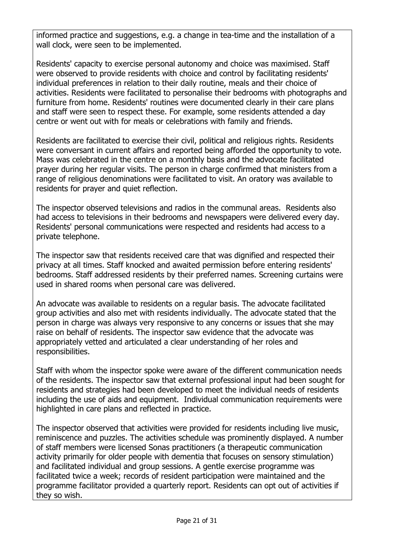informed practice and suggestions, e.g. a change in tea-time and the installation of a wall clock, were seen to be implemented.

Residents' capacity to exercise personal autonomy and choice was maximised. Staff were observed to provide residents with choice and control by facilitating residents' individual preferences in relation to their daily routine, meals and their choice of activities. Residents were facilitated to personalise their bedrooms with photographs and furniture from home. Residents' routines were documented clearly in their care plans and staff were seen to respect these. For example, some residents attended a day centre or went out with for meals or celebrations with family and friends.

Residents are facilitated to exercise their civil, political and religious rights. Residents were conversant in current affairs and reported being afforded the opportunity to vote. Mass was celebrated in the centre on a monthly basis and the advocate facilitated prayer during her regular visits. The person in charge confirmed that ministers from a range of religious denominations were facilitated to visit. An oratory was available to residents for prayer and quiet reflection.

The inspector observed televisions and radios in the communal areas. Residents also had access to televisions in their bedrooms and newspapers were delivered every day. Residents' personal communications were respected and residents had access to a private telephone.

The inspector saw that residents received care that was dignified and respected their privacy at all times. Staff knocked and awaited permission before entering residents' bedrooms. Staff addressed residents by their preferred names. Screening curtains were used in shared rooms when personal care was delivered.

An advocate was available to residents on a regular basis. The advocate facilitated group activities and also met with residents individually. The advocate stated that the person in charge was always very responsive to any concerns or issues that she may raise on behalf of residents. The inspector saw evidence that the advocate was appropriately vetted and articulated a clear understanding of her roles and responsibilities.

Staff with whom the inspector spoke were aware of the different communication needs of the residents. The inspector saw that external professional input had been sought for residents and strategies had been developed to meet the individual needs of residents including the use of aids and equipment. Individual communication requirements were highlighted in care plans and reflected in practice.

The inspector observed that activities were provided for residents including live music, reminiscence and puzzles. The activities schedule was prominently displayed. A number of staff members were licensed Sonas practitioners (a therapeutic communication activity primarily for older people with dementia that focuses on sensory stimulation) and facilitated individual and group sessions. A gentle exercise programme was facilitated twice a week; records of resident participation were maintained and the programme facilitator provided a quarterly report. Residents can opt out of activities if they so wish.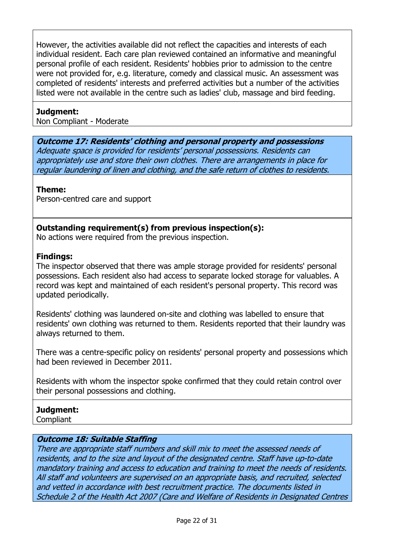However, the activities available did not reflect the capacities and interests of each individual resident. Each care plan reviewed contained an informative and meaningful personal profile of each resident. Residents' hobbies prior to admission to the centre were not provided for, e.g. literature, comedy and classical music. An assessment was completed of residents' interests and preferred activities but a number of the activities listed were not available in the centre such as ladies' club, massage and bird feeding.

### Judgment:

Non Compliant - Moderate

Outcome 17: Residents' clothing and personal property and possessions Adequate space is provided for residents' personal possessions. Residents can appropriately use and store their own clothes. There are arrangements in place for regular laundering of linen and clothing, and the safe return of clothes to residents.

### Theme:

Person-centred care and support

### Outstanding requirement(s) from previous inspection(s):

No actions were required from the previous inspection.

### Findings:

The inspector observed that there was ample storage provided for residents' personal possessions. Each resident also had access to separate locked storage for valuables. A record was kept and maintained of each resident's personal property. This record was updated periodically.

Residents' clothing was laundered on-site and clothing was labelled to ensure that residents' own clothing was returned to them. Residents reported that their laundry was always returned to them.

There was a centre-specific policy on residents' personal property and possessions which had been reviewed in December 2011.

Residents with whom the inspector spoke confirmed that they could retain control over their personal possessions and clothing.

### Judgment:

**Compliant** 

### Outcome 18: Suitable Staffing

There are appropriate staff numbers and skill mix to meet the assessed needs of residents, and to the size and layout of the designated centre. Staff have up-to-date mandatory training and access to education and training to meet the needs of residents. All staff and volunteers are supervised on an appropriate basis, and recruited, selected and vetted in accordance with best recruitment practice. The documents listed in Schedule 2 of the Health Act 2007 (Care and Welfare of Residents in Designated Centres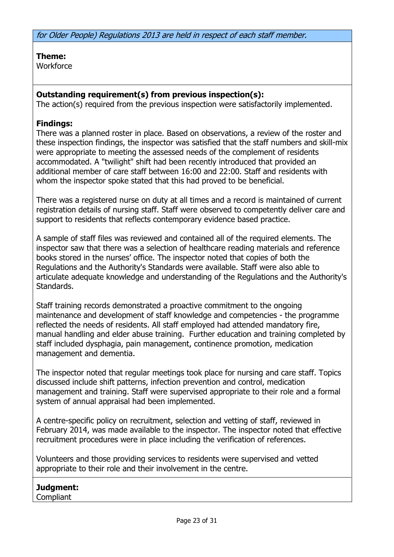for Older People) Regulations 2013 are held in respect of each staff member.

Theme: **Workforce** 

### Outstanding requirement(s) from previous inspection(s):

The action(s) required from the previous inspection were satisfactorily implemented.

### Findings:

There was a planned roster in place. Based on observations, a review of the roster and these inspection findings, the inspector was satisfied that the staff numbers and skill-mix were appropriate to meeting the assessed needs of the complement of residents accommodated. A "twilight" shift had been recently introduced that provided an additional member of care staff between 16:00 and 22:00. Staff and residents with whom the inspector spoke stated that this had proved to be beneficial.

There was a registered nurse on duty at all times and a record is maintained of current registration details of nursing staff. Staff were observed to competently deliver care and support to residents that reflects contemporary evidence based practice.

A sample of staff files was reviewed and contained all of the required elements. The inspector saw that there was a selection of healthcare reading materials and reference books stored in the nurses' office. The inspector noted that copies of both the Regulations and the Authority's Standards were available. Staff were also able to articulate adequate knowledge and understanding of the Regulations and the Authority's Standards.

Staff training records demonstrated a proactive commitment to the ongoing maintenance and development of staff knowledge and competencies - the programme reflected the needs of residents. All staff employed had attended mandatory fire, manual handling and elder abuse training. Further education and training completed by staff included dysphagia, pain management, continence promotion, medication management and dementia.

The inspector noted that regular meetings took place for nursing and care staff. Topics discussed include shift patterns, infection prevention and control, medication management and training. Staff were supervised appropriate to their role and a formal system of annual appraisal had been implemented.

A centre-specific policy on recruitment, selection and vetting of staff, reviewed in February 2014, was made available to the inspector. The inspector noted that effective recruitment procedures were in place including the verification of references.

Volunteers and those providing services to residents were supervised and vetted appropriate to their role and their involvement in the centre.

# Judgment:

Compliant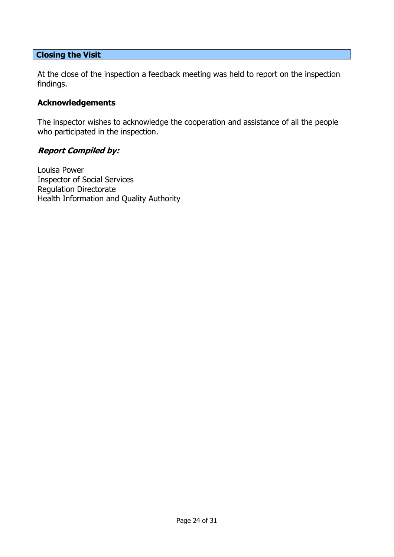#### Closing the Visit

At the close of the inspection a feedback meeting was held to report on the inspection findings.

### Acknowledgements

The inspector wishes to acknowledge the cooperation and assistance of all the people who participated in the inspection.

#### Report Compiled by:

Louisa Power Inspector of Social Services Regulation Directorate Health Information and Quality Authority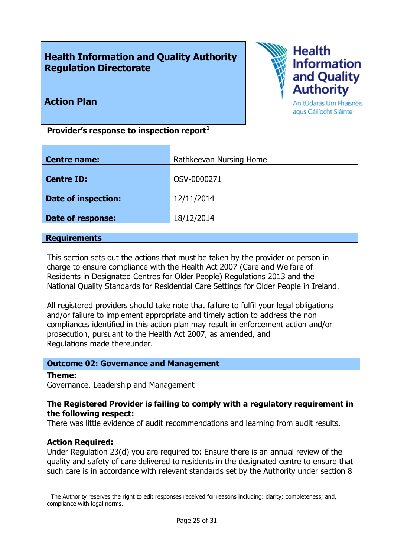# Health Information and Quality Authority Regulation Directorate



Action Plan

An tÚdarás Um Fhaisnéis agus Cáilíocht Sláinte

Provider's response to inspection report $<sup>1</sup>$ </sup>

| Centre name:               | Rathkeevan Nursing Home |
|----------------------------|-------------------------|
|                            |                         |
| <b>Centre ID:</b>          | OSV-0000271             |
|                            |                         |
| <b>Date of inspection:</b> | 12/11/2014              |
|                            |                         |
| Date of response:          | 18/12/2014              |
|                            |                         |

#### **Requirements**

This section sets out the actions that must be taken by the provider or person in charge to ensure compliance with the Health Act 2007 (Care and Welfare of Residents in Designated Centres for Older People) Regulations 2013 and the National Quality Standards for Residential Care Settings for Older People in Ireland.

All registered providers should take note that failure to fulfil your legal obligations and/or failure to implement appropriate and timely action to address the non compliances identified in this action plan may result in enforcement action and/or prosecution, pursuant to the Health Act 2007, as amended, and Regulations made thereunder.

### Outcome 02: Governance and Management

#### Theme:

-

Governance, Leadership and Management

#### The Registered Provider is failing to comply with a regulatory requirement in the following respect:

There was little evidence of audit recommendations and learning from audit results.

### Action Required:

Under Regulation 23(d) you are required to: Ensure there is an annual review of the quality and safety of care delivered to residents in the designated centre to ensure that such care is in accordance with relevant standards set by the Authority under section 8

 $1$  The Authority reserves the right to edit responses received for reasons including: clarity; completeness; and, compliance with legal norms.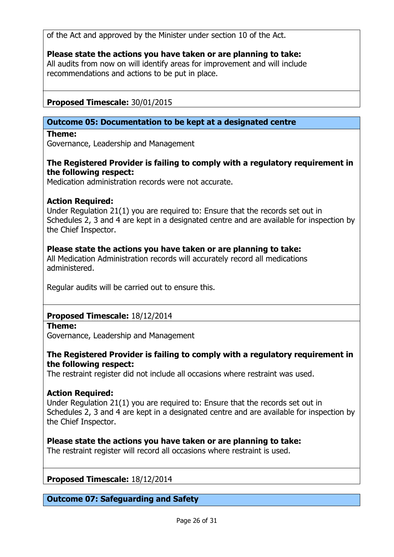of the Act and approved by the Minister under section 10 of the Act.

### Please state the actions you have taken or are planning to take:

All audits from now on will identify areas for improvement and will include recommendations and actions to be put in place.

# Proposed Timescale: 30/01/2015

### Outcome 05: Documentation to be kept at a designated centre

#### Theme:

Governance, Leadership and Management

### The Registered Provider is failing to comply with a regulatory requirement in the following respect:

Medication administration records were not accurate.

### Action Required:

Under Regulation 21(1) you are required to: Ensure that the records set out in Schedules 2, 3 and 4 are kept in a designated centre and are available for inspection by the Chief Inspector.

### Please state the actions you have taken or are planning to take:

All Medication Administration records will accurately record all medications administered.

Regular audits will be carried out to ensure this.

# Proposed Timescale: 18/12/2014

#### Theme:

Governance, Leadership and Management

### The Registered Provider is failing to comply with a regulatory requirement in the following respect:

The restraint register did not include all occasions where restraint was used.

### Action Required:

Under Regulation 21(1) you are required to: Ensure that the records set out in Schedules 2, 3 and 4 are kept in a designated centre and are available for inspection by the Chief Inspector.

### Please state the actions you have taken or are planning to take:

The restraint register will record all occasions where restraint is used.

Proposed Timescale: 18/12/2014

### Outcome 07: Safeguarding and Safety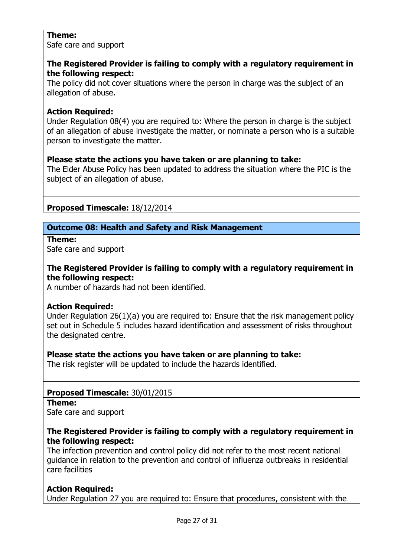### Theme:

Safe care and support

### The Registered Provider is failing to comply with a regulatory requirement in the following respect:

The policy did not cover situations where the person in charge was the subject of an allegation of abuse.

# Action Required:

Under Regulation 08(4) you are required to: Where the person in charge is the subject of an allegation of abuse investigate the matter, or nominate a person who is a suitable person to investigate the matter.

# Please state the actions you have taken or are planning to take:

The Elder Abuse Policy has been updated to address the situation where the PIC is the subject of an allegation of abuse.

# Proposed Timescale: 18/12/2014

# Outcome 08: Health and Safety and Risk Management

Theme:

Safe care and support

### The Registered Provider is failing to comply with a regulatory requirement in the following respect:

A number of hazards had not been identified.

# Action Required:

Under Regulation 26(1)(a) you are required to: Ensure that the risk management policy set out in Schedule 5 includes hazard identification and assessment of risks throughout the designated centre.

# Please state the actions you have taken or are planning to take:

The risk register will be updated to include the hazards identified.

# Proposed Timescale: 30/01/2015

Theme:

Safe care and support

### The Registered Provider is failing to comply with a regulatory requirement in the following respect:

The infection prevention and control policy did not refer to the most recent national guidance in relation to the prevention and control of influenza outbreaks in residential care facilities

# **Action Required:**

Under Regulation 27 you are required to: Ensure that procedures, consistent with the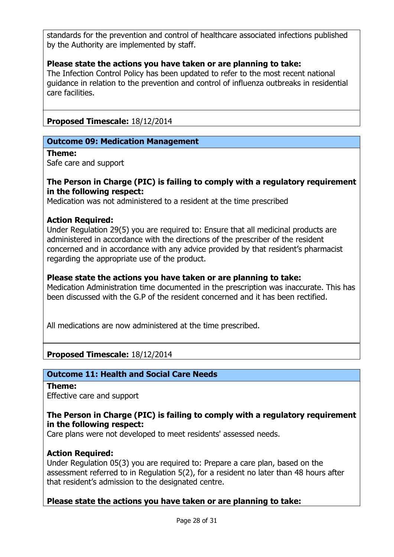standards for the prevention and control of healthcare associated infections published by the Authority are implemented by staff.

### Please state the actions you have taken or are planning to take:

The Infection Control Policy has been updated to refer to the most recent national guidance in relation to the prevention and control of influenza outbreaks in residential care facilities.

Proposed Timescale: 18/12/2014

#### Outcome 09: Medication Management

#### Theme:

Safe care and support

#### The Person in Charge (PIC) is failing to comply with a regulatory requirement in the following respect:

Medication was not administered to a resident at the time prescribed

#### Action Required:

Under Regulation 29(5) you are required to: Ensure that all medicinal products are administered in accordance with the directions of the prescriber of the resident concerned and in accordance with any advice provided by that resident's pharmacist regarding the appropriate use of the product.

#### Please state the actions you have taken or are planning to take:

Medication Administration time documented in the prescription was inaccurate. This has been discussed with the G.P of the resident concerned and it has been rectified.

All medications are now administered at the time prescribed.

### Proposed Timescale: 18/12/2014

### Outcome 11: Health and Social Care Needs

Theme: Effective care and support

### The Person in Charge (PIC) is failing to comply with a regulatory requirement in the following respect:

Care plans were not developed to meet residents' assessed needs.

### Action Required:

Under Regulation 05(3) you are required to: Prepare a care plan, based on the assessment referred to in Regulation 5(2), for a resident no later than 48 hours after that resident's admission to the designated centre.

### Please state the actions you have taken or are planning to take: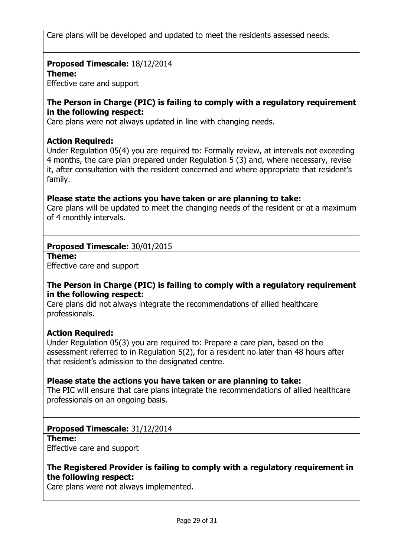Care plans will be developed and updated to meet the residents assessed needs.

### Proposed Timescale: 18/12/2014

#### Theme:

Effective care and support

#### The Person in Charge (PIC) is failing to comply with a regulatory requirement in the following respect:

Care plans were not always updated in line with changing needs.

#### Action Required:

Under Regulation 05(4) you are required to: Formally review, at intervals not exceeding 4 months, the care plan prepared under Regulation 5 (3) and, where necessary, revise it, after consultation with the resident concerned and where appropriate that resident's family.

### Please state the actions you have taken or are planning to take:

Care plans will be updated to meet the changing needs of the resident or at a maximum of 4 monthly intervals.

### Proposed Timescale: 30/01/2015

Theme:

Effective care and support

### The Person in Charge (PIC) is failing to comply with a regulatory requirement in the following respect:

Care plans did not always integrate the recommendations of allied healthcare professionals.

### Action Required:

Under Regulation 05(3) you are required to: Prepare a care plan, based on the assessment referred to in Regulation 5(2), for a resident no later than 48 hours after that resident's admission to the designated centre.

### Please state the actions you have taken or are planning to take:

The PIC will ensure that care plans integrate the recommendations of allied healthcare professionals on an ongoing basis.

### Proposed Timescale: 31/12/2014

Theme: Effective care and support

### The Registered Provider is failing to comply with a regulatory requirement in the following respect:

Care plans were not always implemented.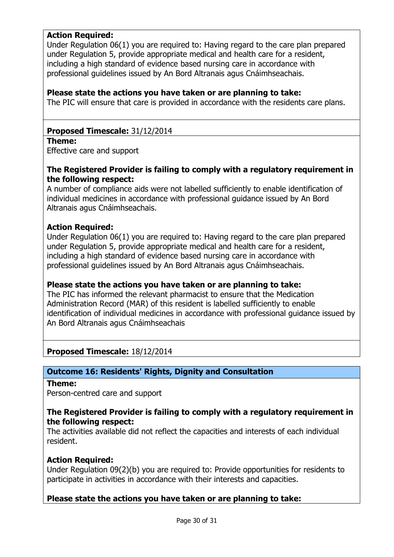### Action Required:

Under Regulation 06(1) you are required to: Having regard to the care plan prepared under Regulation 5, provide appropriate medical and health care for a resident, including a high standard of evidence based nursing care in accordance with professional guidelines issued by An Bord Altranais agus Cnáimhseachais.

#### Please state the actions you have taken or are planning to take:

The PIC will ensure that care is provided in accordance with the residents care plans.

#### Proposed Timescale: 31/12/2014

#### Theme:

Effective care and support

### The Registered Provider is failing to comply with a regulatory requirement in the following respect:

A number of compliance aids were not labelled sufficiently to enable identification of individual medicines in accordance with professional guidance issued by An Bord Altranais agus Cnáimhseachais.

#### Action Required:

Under Regulation 06(1) you are required to: Having regard to the care plan prepared under Regulation 5, provide appropriate medical and health care for a resident, including a high standard of evidence based nursing care in accordance with professional guidelines issued by An Bord Altranais agus Cnáimhseachais.

### Please state the actions you have taken or are planning to take:

The PIC has informed the relevant pharmacist to ensure that the Medication Administration Record (MAR) of this resident is labelled sufficiently to enable identification of individual medicines in accordance with professional guidance issued by An Bord Altranais agus Cnáimhseachais

Proposed Timescale: 18/12/2014

### Outcome 16: Residents' Rights, Dignity and Consultation

Theme:

Person-centred care and support

#### The Registered Provider is failing to comply with a regulatory requirement in the following respect:

The activities available did not reflect the capacities and interests of each individual resident.

### Action Required:

Under Regulation 09(2)(b) you are required to: Provide opportunities for residents to participate in activities in accordance with their interests and capacities.

### Please state the actions you have taken or are planning to take: